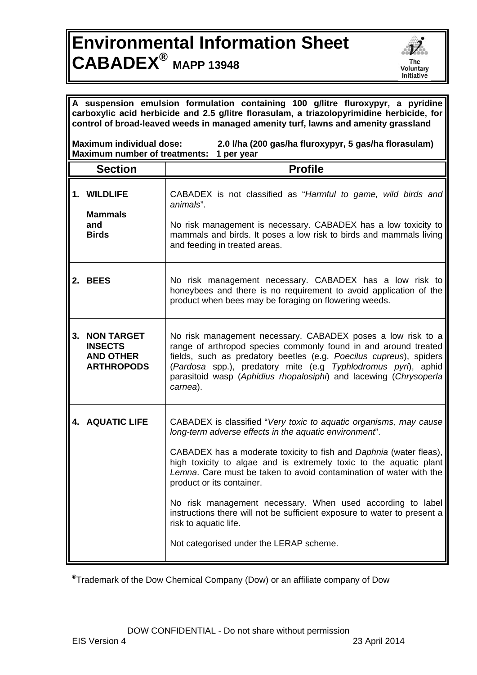## **Environmental Information Sheet CABADEX® MAPP 13948**



| A suspension emulsion formulation containing 100 g/litre fluroxypyr, a pyridine<br>carboxylic acid herbicide and 2.5 g/litre florasulam, a triazolopyrimidine herbicide, for<br>control of broad-leaved weeds in managed amenity turf, lawns and amenity grassland |                                                                              |                                                                                                                                                                                                                                                                                                                                                                                                                                                                                                                                                                                          |  |  |
|--------------------------------------------------------------------------------------------------------------------------------------------------------------------------------------------------------------------------------------------------------------------|------------------------------------------------------------------------------|------------------------------------------------------------------------------------------------------------------------------------------------------------------------------------------------------------------------------------------------------------------------------------------------------------------------------------------------------------------------------------------------------------------------------------------------------------------------------------------------------------------------------------------------------------------------------------------|--|--|
| <b>Maximum individual dose:</b><br>2.0 I/ha (200 gas/ha fluroxypyr, 5 gas/ha florasulam)<br>Maximum number of treatments: 1 per year                                                                                                                               |                                                                              |                                                                                                                                                                                                                                                                                                                                                                                                                                                                                                                                                                                          |  |  |
|                                                                                                                                                                                                                                                                    | <b>Section</b>                                                               | <b>Profile</b>                                                                                                                                                                                                                                                                                                                                                                                                                                                                                                                                                                           |  |  |
|                                                                                                                                                                                                                                                                    | 1. WILDLIFE<br><b>Mammals</b><br>and<br><b>Birds</b>                         | CABADEX is not classified as "Harmful to game, wild birds and<br>animals".<br>No risk management is necessary. CABADEX has a low toxicity to<br>mammals and birds. It poses a low risk to birds and mammals living<br>and feeding in treated areas.                                                                                                                                                                                                                                                                                                                                      |  |  |
|                                                                                                                                                                                                                                                                    | 2. BEES                                                                      | No risk management necessary. CABADEX has a low risk to<br>honeybees and there is no requirement to avoid application of the<br>product when bees may be foraging on flowering weeds.                                                                                                                                                                                                                                                                                                                                                                                                    |  |  |
| 3.                                                                                                                                                                                                                                                                 | <b>NON TARGET</b><br><b>INSECTS</b><br><b>AND OTHER</b><br><b>ARTHROPODS</b> | No risk management necessary. CABADEX poses a low risk to a<br>range of arthropod species commonly found in and around treated<br>fields, such as predatory beetles (e.g. Poecilus cupreus), spiders<br>(Pardosa spp.), predatory mite (e.g Typhlodromus pyri), aphid<br>parasitoid wasp (Aphidius rhopalosiphi) and lacewing (Chrysoperla<br>carnea).                                                                                                                                                                                                                                   |  |  |
|                                                                                                                                                                                                                                                                    | <b>4. AQUATIC LIFE</b>                                                       | CABADEX is classified "Very toxic to aquatic organisms, may cause<br>long-term adverse effects in the aquatic environment".<br>CABADEX has a moderate toxicity to fish and Daphnia (water fleas),<br>high toxicity to algae and is extremely toxic to the aquatic plant<br>Lemna. Care must be taken to avoid contamination of water with the<br>product or its container.<br>No risk management necessary. When used according to label<br>instructions there will not be sufficient exposure to water to present a<br>risk to aquatic life.<br>Not categorised under the LERAP scheme. |  |  |

**®**Trademark of the Dow Chemical Company (Dow) or an affiliate company of Dow